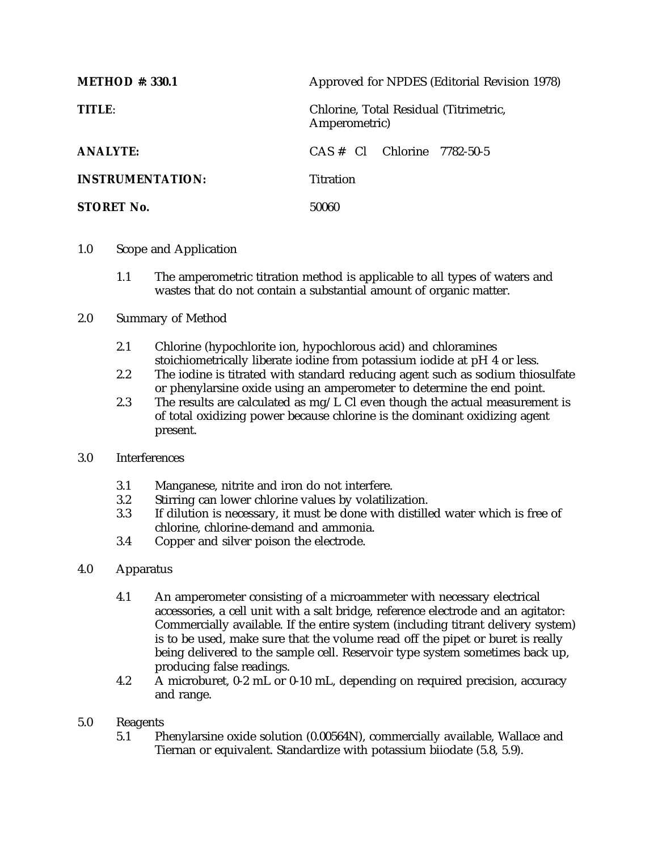| <b>METHOD</b> #: 330.1  | Approved for NPDES (Editorial Revision 1978)            |  |  |
|-------------------------|---------------------------------------------------------|--|--|
| TITLE:                  | Chlorine, Total Residual (Titrimetric,<br>Amperometric) |  |  |
| <b>ANALYTE:</b>         | $CAS \# \nC1$ Chlorine 7782-50-5                        |  |  |
| <b>INSTRUMENTATION:</b> | Titration                                               |  |  |
| <b>STORET No.</b>       | 50060                                                   |  |  |

- 1.0 Scope and Application
	- 1.1 The amperometric titration method is applicable to all types of waters and wastes that do not contain a substantial amount of organic matter.
- 2.0 Summary of Method
	- 2.1 Chlorine (hypochlorite ion, hypochlorous acid) and chloramines stoichiometrically liberate iodine from potassium iodide at pH 4 or less.
	- 2.2 The iodine is titrated with standard reducing agent such as sodium thiosulfate or phenylarsine oxide using an amperometer to determine the end point.
	- 2.3 The results are calculated as  $mg/L$  Cl even though the actual measurement is of total oxidizing power because chlorine is the dominant oxidizing agent present.
- 3.0 Interferences
	- 3.1 Manganese, nitrite and iron do not interfere.
	- 3.2 Stirring can lower chlorine values by volatilization.<br>3.3 If dilution is necessary, it must be done with distillently
	- If dilution is necessary, it must be done with distilled water which is free of chlorine, chlorine-demand and ammonia.
	- 3.4 Copper and silver poison the electrode.
- 4.0 Apparatus
	- 4.1 An amperometer consisting of a microammeter with necessary electrical accessories, a cell unit with a salt bridge, reference electrode and an agitator: Commercially available. If the entire system (including titrant delivery system) is to be used, make sure that the volume read off the pipet or buret is really being delivered to the sample cell. Reservoir type system sometimes back up, producing false readings.
	- 4.2 A microburet, 0-2 mL or 0-10 mL, depending on required precision, accuracy and range.
- 5.0 Reagents
	- 5.1 Phenylarsine oxide solution (0.00564N), commercially available, Wallace and Tiernan or equivalent. Standardize with potassium biiodate (5.8, 5.9).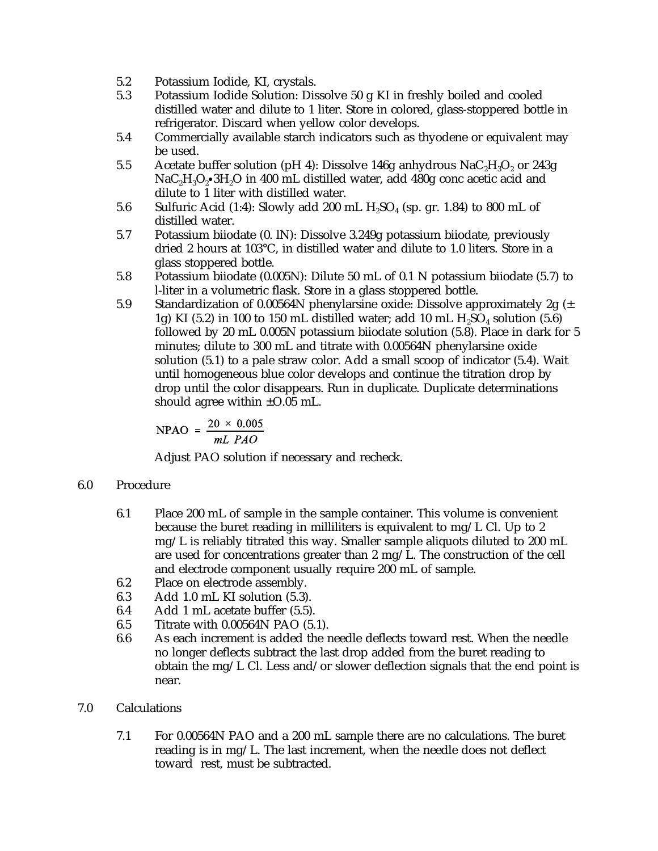- 5.2 Potassium Iodide, KI, crystals.
- 5.3 Potassium Iodide Solution: Dissolve 50 g KI in freshly boiled and cooled distilled water and dilute to 1 liter. Store in colored, glass-stoppered bottle in refrigerator. Discard when yellow color develops.
- 5.4 Commercially available starch indicators such as thyodene or equivalent may be used.
- 5.5 Acetate buffer solution (pH 4): Dissolve 146g anhydrous  $NaC<sub>2</sub>H<sub>3</sub>O<sub>2</sub>$  or 243g  $NaC<sub>2</sub>H<sub>3</sub>O<sub>2</sub>$ •3H<sub>2</sub>O in 400 mL distilled water, add 480g conc acetic acid and dilute to 1 liter with distilled water.
- 5.6 Sulfuric Acid (1:4): Slowly add 200 mL  $H_2SO_4$  (sp. gr. 1.84) to 800 mL of distilled water.
- 5.7 Potassium biiodate (0. lN): Dissolve 3.249g potassium biiodate, previously dried 2 hours at 103°C, in distilled water and dilute to 1.0 liters. Store in a glass stoppered bottle.
- 5.8 Potassium biiodate (0.005N): Dilute 50 mL of 0.1 N potassium biiodate (5.7) to l-liter in a volumetric flask. Store in a glass stoppered bottle.
- 5.9 Standardization of 0.00564N phenylarsine oxide: Dissolve approximately 2g (± 1g) KI (5.2) in 100 to 150 mL distilled water; add 10 mL  $H<sub>2</sub>SO<sub>4</sub>$  solution (5.6) followed by 20 mL 0.005N potassium biiodate solution (5.8). Place in dark for 5 minutes; dilute to 300 mL and titrate with 0.00564N phenylarsine oxide solution (5.1) to a pale straw color. Add a small scoop of indicator (5.4). Wait until homogeneous blue color develops and continue the titration drop by drop until the color disappears. Run in duplicate. Duplicate determinations should agree within  $\pm 0.05$  mL.

$$
NPAO = \frac{20 \times 0.005}{mL \, PAO}
$$

Adjust PAO solution if necessary and recheck.

## 6.0 Procedure

- 6.1 Place 200 mL of sample in the sample container. This volume is convenient because the buret reading in milliliters is equivalent to mg/L Cl. Up to 2 mg/L is reliably titrated this way. Smaller sample aliquots diluted to 200 mL are used for concentrations greater than 2 mg/L. The construction of the cell and electrode component usually require 200 mL of sample.
- 6.2 Place on electrode assembly.
- 6.3 Add 1.0 mL KI solution (5.3).
- 6.4 Add 1 mL acetate buffer (5.5).
- 6.5 Titrate with 0.00564N PAO (5.1).
- 6.6 As each increment is added the needle deflects toward rest. When the needle no longer deflects subtract the last drop added from the buret reading to obtain the mg/L Cl. Less and/or slower deflection signals that the end point is near.

## 7.0 Calculations

7.1 For 0.00564N PAO and a 200 mL sample there are no calculations. The buret reading is in mg/L. The last increment, when the needle does not deflect toward rest, must be subtracted.